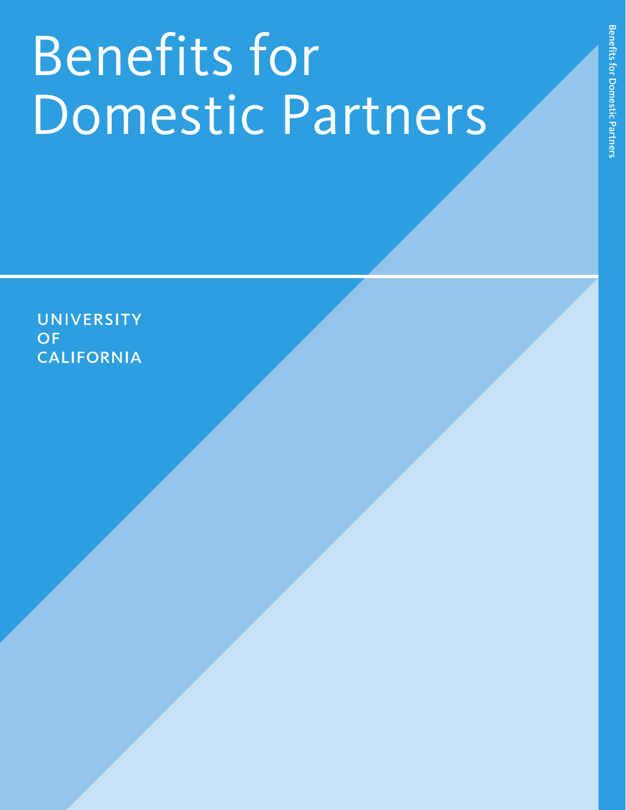# Benefits for Domestic Partners

UNIVERSITY OF **CALIFORNIA**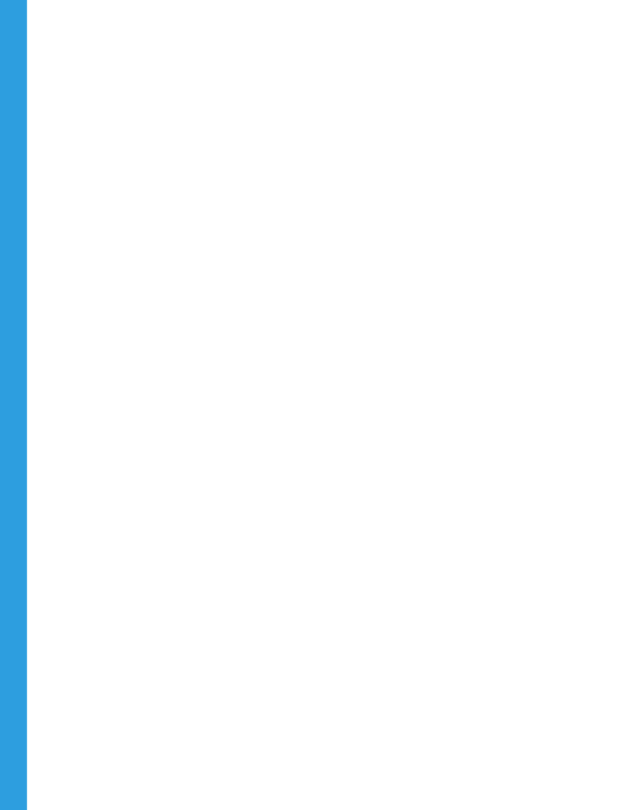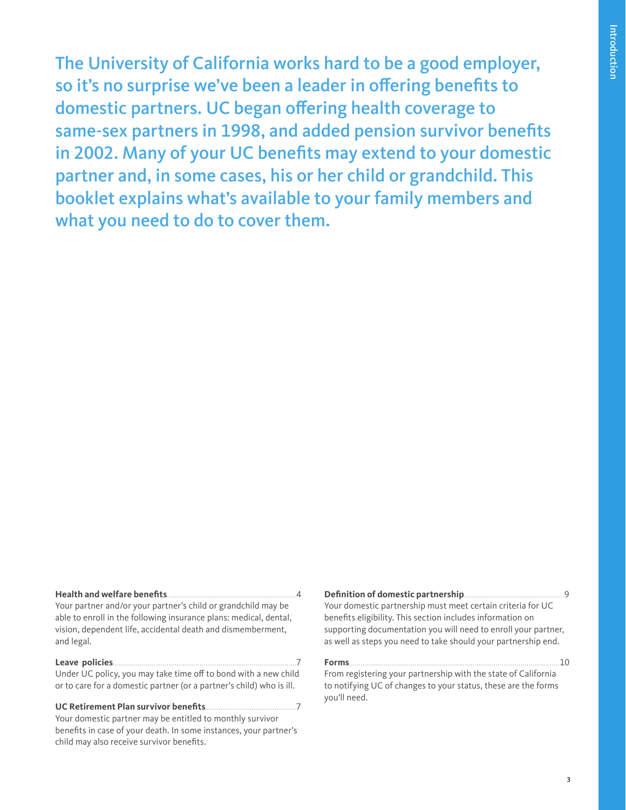The University of California works hard to be a good employer, so it's no surprise we've been a leader in offering benefits to domestic partners. UC began offering health coverage to same-sex partners in 1998, and added pension survivor benefits in 2002. Many of your UC benefits may extend to your domestic partner and, in some cases, his or her child or grandchild. This booklet explains what's available to your family members and what you need to do to cover them.

#### **Health and welfare benefits......**

Your partner and/or your partner's child or grandchild may be able to enroll in the following insurance plans: medical, dental, vision, dependent life, accidental death and dismemberment, and legal.

#### **Leave policies**...............................................................................................7

Under UC policy, you may take time off to bond with a new child or to care for a domestic partner (or a partner's child) who is ill.

#### **UC Retirement Plan survivor benefits**...............................................7

Your domestic partner may be entitled to monthly survivor benefits in case of your death. In some instances, your partner's child may also receive survivor benefits.

#### **Definition of domestic partnership**....................................................9

Your domestic partnership must meet certain criteria for UC benefits eligibility. This section includes information on supporting documentation you will need to enroll your partner, as well as steps you need to take should your partnership end.

#### **Forms**.............................................................................................................10

From registering your partnership with the state of California to notifying UC of changes to your status, these are the forms you'll need.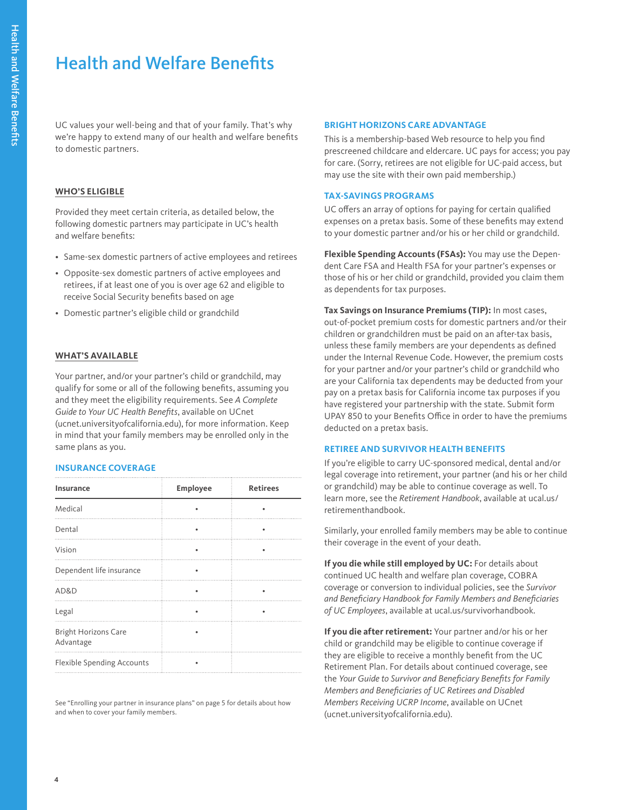## Health and Welfare Benefits

UC values your well-being and that of your family. That's why we're happy to extend many of our health and welfare benefits to domestic partners.

#### **WHO'S ELIGIBLE**

Provided they meet certain criteria, as detailed below, the following domestic partners may participate in UC's health and welfare benefits:

- Same-sex domestic partners of active employees and retirees
- Opposite-sex domestic partners of active employees and retirees, if at least one of you is over age 62 and eligible to receive Social Security benefits based on age
- Domestic partner's eligible child or grandchild

#### **WHAT'S AVAILABLE**

Your partner, and/or your partner's child or grandchild, may qualify for some or all of the following benefits, assuming you and they meet the eligibility requirements. See *A Complete*  Guide to Your UC Health Benefits, available on UCnet (ucnet.universityofcalifornia.edu), for more information. Keep in mind that your family members may be enrolled only in the same plans as you.

#### **INSURANCE COVERAGE**

| <b>Insurance</b>                         | <b>Employee</b> | <b>Retirees</b> |
|------------------------------------------|-----------------|-----------------|
| Medical                                  |                 |                 |
| Dental                                   |                 |                 |
| Vision                                   |                 |                 |
| Dependent life insurance                 | ٠               |                 |
| AD&D                                     |                 |                 |
| Legal                                    |                 |                 |
| <b>Bright Horizons Care</b><br>Advantage |                 |                 |
| <b>Flexible Spending Accounts</b>        |                 |                 |

See "Enrolling your partner in insurance plans" on page 5 for details about how and when to cover your family members.

#### **BRIGHT HORIZONS CARE ADVANTAGE**

This is a membership-based Web resource to help you find prescreened childcare and eldercare. UC pays for access; you pay for care. (Sorry, retirees are not eligible for UC-paid access, but may use the site with their own paid membership.)

#### **TAX-SAVINGS PROGRAMS**

UC offers an array of options for paying for certain qualified expenses on a pretax basis. Some of these benefits may extend to your domestic partner and/or his or her child or grandchild.

**Flexible Spending Accounts (FSAs):** You may use the Dependent Care FSA and Health FSA for your partner's expenses or those of his or her child or grandchild, provided you claim them as dependents for tax purposes.

**Tax Savings on Insurance Premiums (TIP):** In most cases, out-of-pocket premium costs for domestic partners and/or their children or grandchildren must be paid on an after-tax basis, unless these family members are your dependents as defined under the Internal Revenue Code. However, the premium costs for your partner and/or your partner's child or grandchild who are your California tax dependents may be deducted from your pay on a pretax basis for California income tax purposes if you have registered your partnership with the state. Submit form UPAY 850 to your Benefits Office in order to have the premiums deducted on a pretax basis.

#### **RETIREE AND SURVIVOR HEALTH BENEFITS**

If you're eligible to carry UC-sponsored medical, dental and/or legal coverage into retirement, your partner (and his or her child or grandchild) may be able to continue coverage as well. To learn more, see the *Retirement Handbook*, available at ucal.us/ retirementhandbook.

Similarly, your enrolled family members may be able to continue their coverage in the event of your death.

**If you die while still employed by UC:** For details about continued UC health and welfare plan coverage, COBRA coverage or conversion to individual policies, see the *Survivor*  and Beneficiary Handbook for Family Members and Beneficiaries of UC Employees, available at ucal.us/survivorhandbook*.*

**If you die after retirement:** Your partner and/or his or her child or grandchild may be eligible to continue coverage if they are eligible to receive a monthly benefit from the UC Retirement Plan. For details about continued coverage, see the Your Guide to Survivor and Beneficiary Benefits for Family Members and Beneficiaries of UC Retirees and Disabled Members Receiving UCRP Income, available on UCnet (ucnet.universityofcalifornia.edu)*.*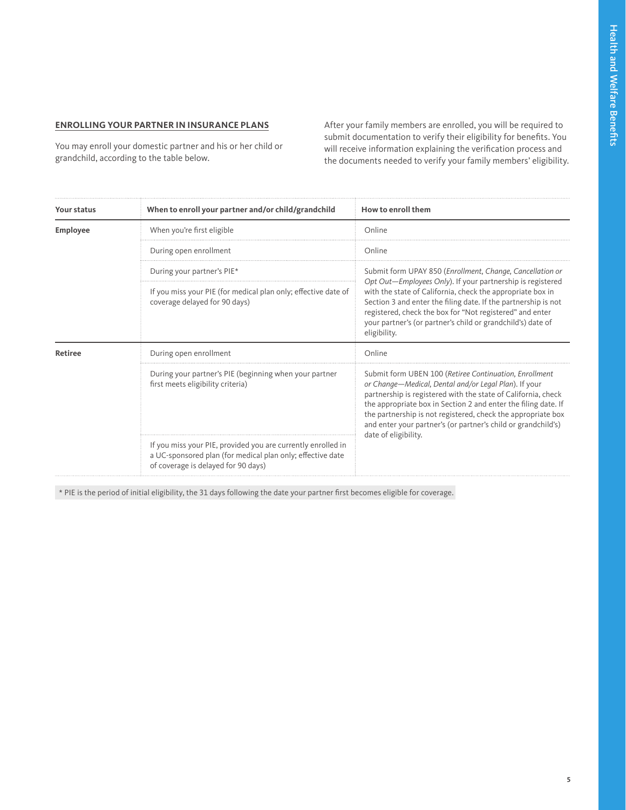#### **ENROLLING YOUR PARTNER IN INSURANCE PLANS**

You may enroll your domestic partner and his or her child or grandchild, according to the table below.

After your family members are enrolled, you will be required to submit documentation to verify their eligibility for benefits. You will receive information explaining the verification process and the documents needed to verify your family members' eligibility.

| Your status    | When to enroll your partner and/or child/grandchild                                                                                                               | How to enroll them                                                                                                                                                                                                                                                                                                                                                                                          |  |
|----------------|-------------------------------------------------------------------------------------------------------------------------------------------------------------------|-------------------------------------------------------------------------------------------------------------------------------------------------------------------------------------------------------------------------------------------------------------------------------------------------------------------------------------------------------------------------------------------------------------|--|
| Employee       | When you're first eligible                                                                                                                                        | Online                                                                                                                                                                                                                                                                                                                                                                                                      |  |
|                | During open enrollment                                                                                                                                            | Online                                                                                                                                                                                                                                                                                                                                                                                                      |  |
|                | During your partner's PIE*                                                                                                                                        | Submit form UPAY 850 (Enrollment, Change, Cancellation or<br>Opt Out-Employees Only). If your partnership is registered<br>with the state of California, check the appropriate box in<br>Section 3 and enter the filing date. If the partnership is not<br>registered, check the box for "Not registered" and enter<br>your partner's (or partner's child or grandchild's) date of<br>eligibility.          |  |
|                | If you miss your PIE (for medical plan only; effective date of<br>coverage delayed for 90 days)                                                                   |                                                                                                                                                                                                                                                                                                                                                                                                             |  |
| <b>Retiree</b> | During open enrollment                                                                                                                                            | Online                                                                                                                                                                                                                                                                                                                                                                                                      |  |
|                | During your partner's PIE (beginning when your partner<br>first meets eligibility criteria)                                                                       | Submit form UBEN 100 (Retiree Continuation, Enrollment<br>or Change-Medical, Dental and/or Legal Plan). If your<br>partnership is registered with the state of California, check<br>the appropriate box in Section 2 and enter the filing date. If<br>the partnership is not registered, check the appropriate box<br>and enter your partner's (or partner's child or grandchild's)<br>date of eligibility. |  |
|                | If you miss your PIE, provided you are currently enrolled in<br>a UC-sponsored plan (for medical plan only; effective date<br>of coverage is delayed for 90 days) |                                                                                                                                                                                                                                                                                                                                                                                                             |  |

\* PIE is the period of initial eligibility, the 31 days following the date your partner first becomes eligible for coverage.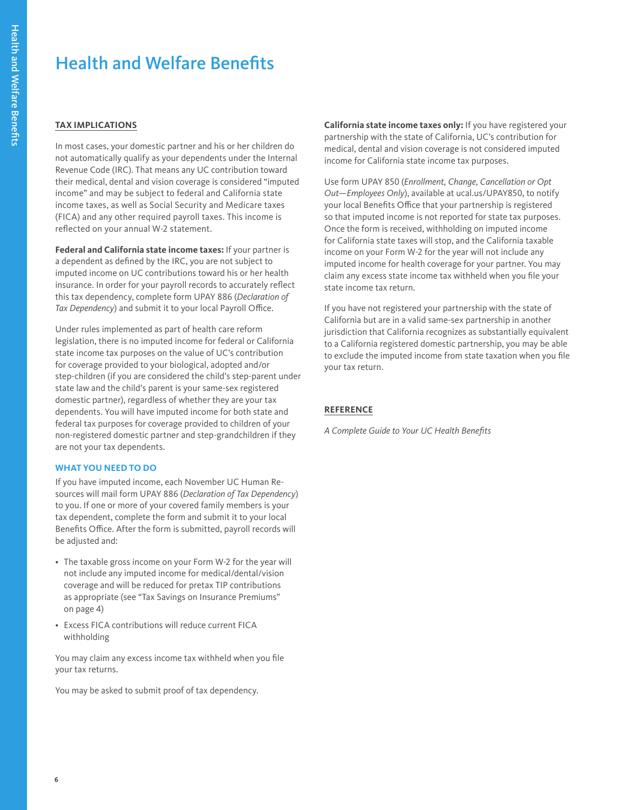## Health and Welfare Benefits

#### **TAX IMPLICATIONS**

In most cases, your domestic partner and his or her children do not automatically qualify as your dependents under the Internal Revenue Code (IRC). That means any UC contribution toward their medical, dental and vision coverage is considered "imputed income" and may be subject to federal and California state income taxes, as well as Social Security and Medicare taxes (FICA) and any other required payroll taxes. This income is reflected on your annual W-2 statement.

**Federal and California state income taxes:** If your partner is a dependent as defined by the IRC, you are not subject to imputed income on UC contributions toward his or her health insurance. In order for your payroll records to accurately reflect this tax dependency, complete form UPAY 886 (Declaration of Tax Dependency) and submit it to your local Payroll Office.

Under rules implemented as part of health care reform legislation, there is no imputed income for federal or California state income tax purposes on the value of UC's contribution for coverage provided to your biological, adopted and/or step-children (if you are considered the child's step-parent under state law and the child's parent is your same-sex registered domestic partner), regardless of whether they are your tax dependents. You will have imputed income for both state and federal tax purposes for coverage provided to children of your non-registered domestic partner and step-grandchildren if they are not your tax dependents.

#### **WHAT YOU NEED TO DO**

If you have imputed income, each November UC Human Resources will mail form UPAY 886 (Declaration of Tax Dependency) to you. If one or more of your covered family members is your tax dependent, complete the form and submit it to your local Benefits Office. After the form is submitted, payroll records will be adjusted and:

- The taxable gross income on your Form W-2 for the year will not include any imputed income for medical/dental/vision coverage and will be reduced for pretax TIP contributions as appropriate (see "Tax Savings on Insurance Premiums" on page 4)
- Excess FICA contributions will reduce current FICA withholding

You may claim any excess income tax withheld when you file your tax returns.

You may be asked to submit proof of tax dependency.

**California state income taxes only:** If you have registered your partnership with the state of California, UC's contribution for medical, dental and vision coverage is not considered imputed income for California state income tax purposes.

Use form UPAY 850 (Enrollment, Change, Cancellation or Opt Out—Employees Only), available at ucal.us/UPAY850, to notify your local Benefits Office that your partnership is registered so that imputed income is not reported for state tax purposes. Once the form is received, withholding on imputed income for California state taxes will stop, and the California taxable income on your Form W-2 for the year will not include any imputed income for health coverage for your partner. You may claim any excess state income tax withheld when you file your state income tax return.

If you have not registered your partnership with the state of California but are in a valid same-sex partnership in another jurisdiction that California recognizes as substantially equivalent to a California registered domestic partnership, you may be able to exclude the imputed income from state taxation when you file your tax return.

#### **REFERENCE**

A Complete Guide to Your UC Health Benefits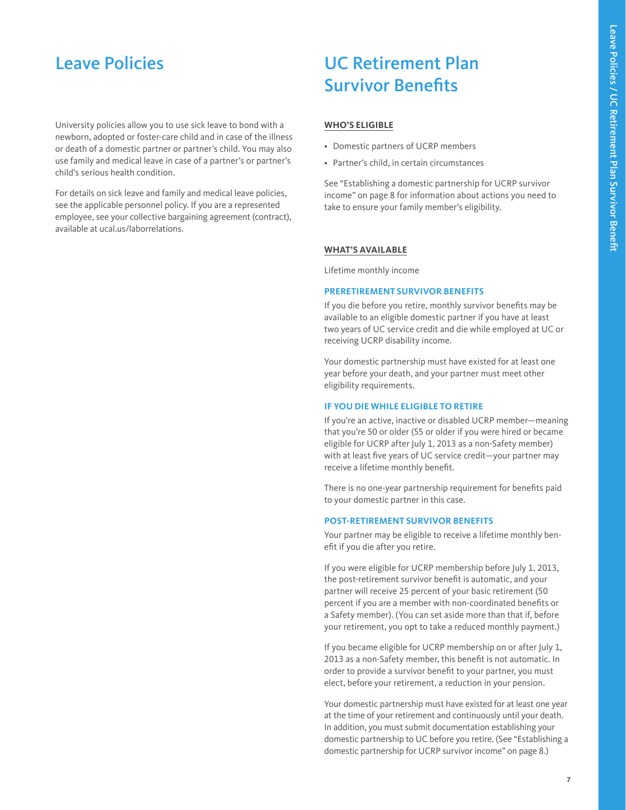University policies allow you to use sick leave to bond with a newborn, adopted or foster-care child and in case of the illness or death of a domestic partner or partner's child. You may also use family and medical leave in case of a partner's or partner's child's serious health condition.

For details on sick leave and family and medical leave policies, see the applicable personnel policy. If you are a represented employee, see your collective bargaining agreement (contract), available at ucal.us/laborrelations.

## Leave Policies UC Retirement Plan Survivor Benefits

#### **WHO'S ELIGIBLE**

- Domestic partners of UCRP members
- Partner's child, in certain circumstances

See "Establishing a domestic partnership for UCRP survivor income" on page 8 for information about actions you need to take to ensure your family member's eligibility.

#### **WHAT'S AVAILABLE**

Lifetime monthly income

#### **PRERETIREMENT SURVIVOR BENEFITS**

If you die before you retire, monthly survivor benefits may be available to an eligible domestic partner if you have at least two years of UC service credit and die while employed at UC or receiving UCRP disability income.

Your domestic partnership must have existed for at least one year before your death, and your partner must meet other eligibility requirements.

#### **IF YOU DIE WHILE ELIGIBLE TO RETIRE**

If you're an active, inactive or disabled UCRP member—meaning that you're 50 or older (55 or older if you were hired or became eligible for UCRP after July 1, 2013 as a non-Safety member) with at least five years of UC service credit—your partner may receive a lifetime monthly benefit.

There is no one-year partnership requirement for benefits paid to your domestic partner in this case.

#### **POST-RETIREMENT SURVIVOR BENEFITS**

Your partner may be eligible to receive a lifetime monthly benefit if you die after you retire.

If you were eligible for UCRP membership before July 1, 2013, the post-retirement survivor benefit is automatic, and your partner will receive 25 percent of your basic retirement (50 percent if you are a member with non-coordinated benefits or a Safety member). (You can set aside more than that if, before your retirement, you opt to take a reduced monthly payment.)

If you became eligible for UCRP membership on or after July 1, 2013 as a non-Safety member, this benefit is not automatic. In order to provide a survivor benefit to your partner, you must elect, before your retirement, a reduction in your pension.

Your domestic partnership must have existed for at least one year at the time of your retirement and continuously until your death. In addition, you must submit documentation establishing your domestic partnership to UC before you retire. (See "Establishing a domestic partnership for UCRP survivor income" on page 8.)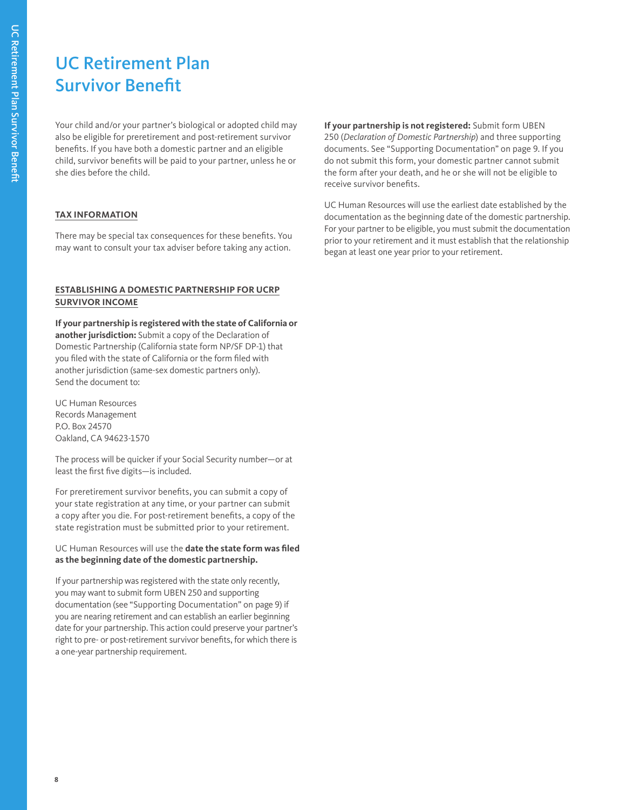## UC Retirement Plan Survivor Benefit

Your child and/or your partner's biological or adopted child may also be eligible for preretirement and post-retirement survivor benefits. If you have both a domestic partner and an eligible child, survivor benefits will be paid to your partner, unless he or she dies before the child.

### **TAX INFORMATION**

There may be special tax consequences for these benefits. You may want to consult your tax adviser before taking any action.

#### **ESTABLISHING A DOMESTIC PARTNERSHIP FOR UCRP SURVIVOR INCOME**

**If your partnership is registered with the state of California or another jurisdiction:** Submit a copy of the Declaration of Domestic Partnership (California state form NP/SF DP-1) that you filed with the state of California or the form filed with another jurisdiction (same-sex domestic partners only). Send the document to:

UC Human Resources Records Management P.O. Box 24570 Oakland, CA 94623-1570

The process will be quicker if your Social Security number—or at least the first five digits—is included.

For preretirement survivor benefits, you can submit a copy of your state registration at any time, or your partner can submit a copy after you die. For post-retirement benefits, a copy of the state registration must be submitted prior to your retirement.

UC Human Resources will use the **date the state form was filed as the beginning date of the domestic partnership.**

If your partnership was registered with the state only recently, you may want to submit form UBEN 250 and supporting documentation (see "Supporting Documentation" on page 9) if you are nearing retirement and can establish an earlier beginning date for your partnership. This action could preserve your partner's right to pre- or post-retirement survivor benefits, for which there is a one-year partnership requirement.

**If your partnership is not registered:** Submit form UBEN 250 (Declaration of Domestic Partnership) and three supporting documents. See "Supporting Documentation" on page 9. If you do not submit this form, your domestic partner cannot submit the form after your death, and he or she will not be eligible to receive survivor benefits.

UC Human Resources will use the earliest date established by the documentation as the beginning date of the domestic partnership. For your partner to be eligible, you must submit the documentation prior to your retirement and it must establish that the relationship began at least one year prior to your retirement.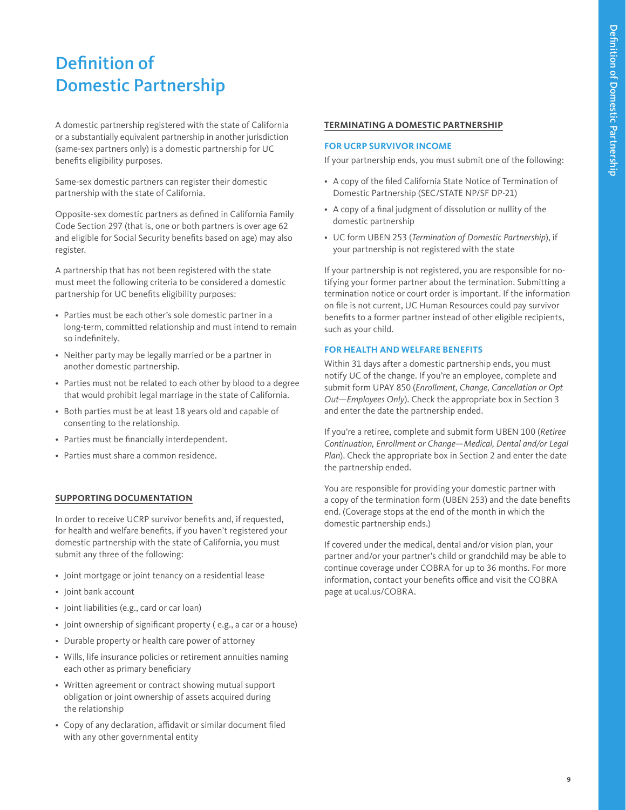## Definition of Domestic Partnership

A domestic partnership registered with the state of California or a substantially equivalent partnership in another jurisdiction (same-sex partners only) is a domestic partnership for UC benefits eligibility purposes.

Same-sex domestic partners can register their domestic partnership with the state of California.

Opposite-sex domestic partners as defined in California Family Code Section 297 (that is, one or both partners is over age 62 and eligible for Social Security benefits based on age) may also register.

A partnership that has not been registered with the state must meet the following criteria to be considered a domestic partnership for UC benefits eligibility purposes:

- Parties must be each other's sole domestic partner in a long-term, committed relationship and must intend to remain so indefinitely.
- Neither party may be legally married or be a partner in another domestic partnership.
- Parties must not be related to each other by blood to a degree that would prohibit legal marriage in the state of California.
- Both parties must be at least 18 years old and capable of consenting to the relationship.
- Parties must be financially interdependent.
- Parties must share a common residence.

#### **SUPPORTING DOCUMENTATION**

In order to receive UCRP survivor benefits and, if requested, for health and welfare benefits, if you haven't registered your domestic partnership with the state of California, you must submit any three of the following:

- Joint mortgage or joint tenancy on a residential lease
- Joint bank account
- Joint liabilities (e.g., card or car loan)
- Joint ownership of significant property ( e.g., a car or a house)
- Durable property or health care power of attorney
- Wills, life insurance policies or retirement annuities naming each other as primary beneficiary
- Written agreement or contract showing mutual support obligation or joint ownership of assets acquired during the relationship
- Copy of any declaration, affidavit or similar document filed with any other governmental entity

#### **TERMINATING A DOMESTIC PARTNERSHIP**

#### **FOR UCRP SURVIVOR INCOME**

If your partnership ends, you must submit one of the following:

- A copy of the filed California State Notice of Termination of Domestic Partnership (SEC/STATE NP/SF DP-21)
- A copy of a final judgment of dissolution or nullity of the domestic partnership
- UC form UBEN 253 (Termination of Domestic Partnership), if your partnership is not registered with the state

If your partnership is not registered, you are responsible for notifying your former partner about the termination. Submitting a termination notice or court order is important. If the information on file is not current, UC Human Resources could pay survivor benefits to a former partner instead of other eligible recipients, such as your child.

#### **FOR HEALTH AND WELFARE BENEFITS**

Within 31 days after a domestic partnership ends, you must notify UC of the change. If you're an employee, complete and submit form UPAY 850 (Enrollment, Change, Cancellation or Opt Out—Employees Only). Check the appropriate box in Section 3 and enter the date the partnership ended.

If you're a retiree, complete and submit form UBEN 100 (*Retiree*  Continuation, Enrollment or Change—Medical, Dental and/or Legal Plan). Check the appropriate box in Section 2 and enter the date the partnership ended.

You are responsible for providing your domestic partner with a copy of the termination form (UBEN 253) and the date benefits end. (Coverage stops at the end of the month in which the domestic partnership ends.)

If covered under the medical, dental and/or vision plan, your partner and/or your partner's child or grandchild may be able to continue coverage under COBRA for up to 36 months. For more information, contact your benefits office and visit the COBRA page at ucal.us/COBRA.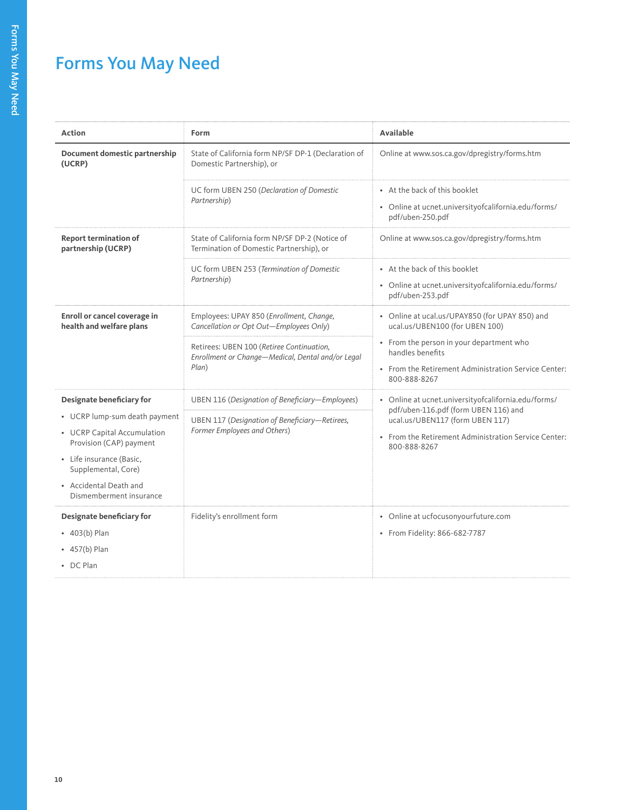## Forms You May Need

Forms You May Need Forms You May Need

| <b>Action</b>                                            | Form                                                                                                       | Available                                                                                                                                                                                                                |
|----------------------------------------------------------|------------------------------------------------------------------------------------------------------------|--------------------------------------------------------------------------------------------------------------------------------------------------------------------------------------------------------------------------|
| Document domestic partnership<br>(UCRP)                  | State of California form NP/SF DP-1 (Declaration of<br>Domestic Partnership), or                           | Online at www.sos.ca.gov/dpregistry/forms.htm                                                                                                                                                                            |
|                                                          | UC form UBEN 250 (Declaration of Domestic<br>Partnership)                                                  | • At the back of this booklet<br>• Online at ucnet.universityofcalifornia.edu/forms/<br>pdf/uben-250.pdf                                                                                                                 |
| <b>Report termination of</b><br>partnership (UCRP)       | State of California form NP/SF DP-2 (Notice of<br>Termination of Domestic Partnership), or                 | Online at www.sos.ca.gov/dpregistry/forms.htm                                                                                                                                                                            |
|                                                          | UC form UBEN 253 (Termination of Domestic<br>Partnership)                                                  | • At the back of this booklet<br>• Online at ucnet.universityofcalifornia.edu/forms/<br>pdf/uben-253.pdf                                                                                                                 |
| Enroll or cancel coverage in<br>health and welfare plans | Employees: UPAY 850 (Enrollment, Change,<br>Cancellation or Opt Out-Employees Only)                        | • Online at ucal.us/UPAY850 (for UPAY 850) and<br>ucal.us/UBEN100 (for UBEN 100)<br>• From the person in your department who<br>handles benefits<br>• From the Retirement Administration Service Center:<br>800-888-8267 |
|                                                          | Retirees: UBEN 100 (Retiree Continuation,<br>Enrollment or Change-Medical, Dental and/or Legal<br>$Plan$ ) |                                                                                                                                                                                                                          |
| Designate beneficiary for                                | UBEN 116 (Designation of Beneficiary-Employees)                                                            | • Online at ucnet.universityofcalifornia.edu/forms/<br>pdf/uben-116.pdf (form UBEN 116) and<br>ucal.us/UBEN117 (form UBEN 117)<br>• From the Retirement Administration Service Center:<br>800-888-8267                   |
| • UCRP lump-sum death payment                            | UBEN 117 (Designation of Beneficiary-Retirees,                                                             |                                                                                                                                                                                                                          |
| • UCRP Capital Accumulation<br>Provision (CAP) payment   | Former Employees and Others)                                                                               |                                                                                                                                                                                                                          |
| • Life insurance (Basic,<br>Supplemental, Core)          |                                                                                                            |                                                                                                                                                                                                                          |
| • Accidental Death and<br>Dismemberment insurance        |                                                                                                            |                                                                                                                                                                                                                          |
| Designate beneficiary for                                | Fidelity's enrollment form                                                                                 | • Online at ucfocusonyourfuture.com                                                                                                                                                                                      |
| $\cdot$ 403(b) Plan                                      |                                                                                                            | • From Fidelity: 866-682-7787                                                                                                                                                                                            |
| $\cdot$ 457(b) Plan                                      |                                                                                                            |                                                                                                                                                                                                                          |
| • DC Plan                                                |                                                                                                            |                                                                                                                                                                                                                          |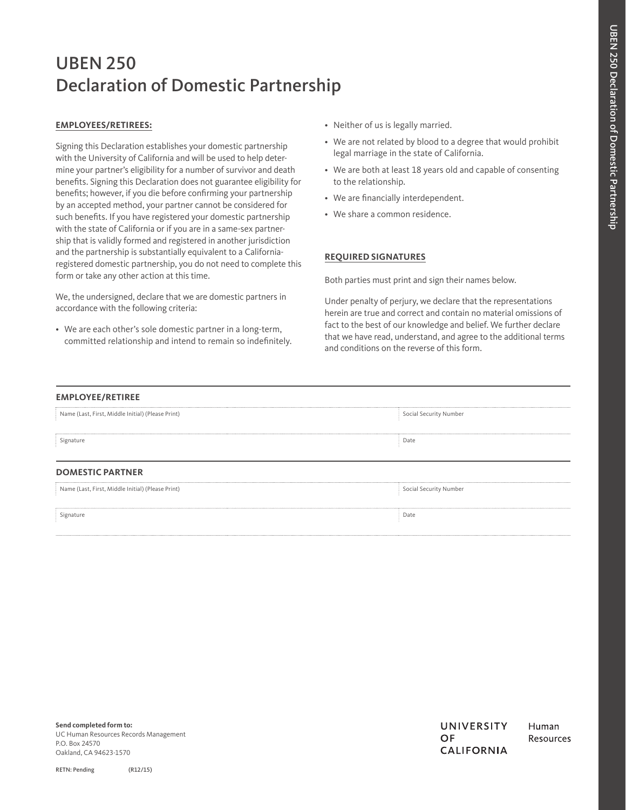## UBEN 250 Declaration of Domestic Partnership

#### **EMPLOYEES/RETIREES:**

Signing this Declaration establishes your domestic partnership with the University of California and will be used to help determine your partner's eligibility for a number of survivor and death benefits. Signing this Declaration does not guarantee eligibility for benefits; however, if you die before confirming your partnership by an accepted method, your partner cannot be considered for such benefits. If you have registered your domestic partnership with the state of California or if you are in a same-sex partnership that is validly formed and registered in another jurisdiction and the partnership is substantially equivalent to a Californiaregistered domestic partnership, you do not need to complete this form or take any other action at this time.

We, the undersigned, declare that we are domestic partners in accordance with the following criteria:

• We are each other's sole domestic partner in a long-term, committed relationship and intend to remain so indefinitely.

- Neither of us is legally married.
- We are not related by blood to a degree that would prohibit legal marriage in the state of California.
- We are both at least 18 years old and capable of consenting to the relationship.
- We are financially interdependent.
- We share a common residence.

#### **REQUIRED SIGNATURES**

Both parties must print and sign their names below.

Under penalty of perjury, we declare that the representations herein are true and correct and contain no material omissions of fact to the best of our knowledge and belief. We further declare that we have read, understand, and agree to the additional terms and conditions on the reverse of this form.

| <b>EMPLOYEE/RETIREE</b>                           |                        |
|---------------------------------------------------|------------------------|
| Name (Last, First, Middle Initial) (Please Print) | Social Security Number |
| Signature                                         | Date                   |
| <b>DOMESTIC PARTNER</b>                           |                        |
| Name (Last, First, Middle Initial) (Please Print) | Social Security Number |
| Signature                                         | <br>Date               |

**Send completed form to:**  UC Human Resources Records Management P.O. Box 24570 Oakland, CA 94623-1570

**UNIVERSITY** Human **OF** Resources **CALIFORNIA**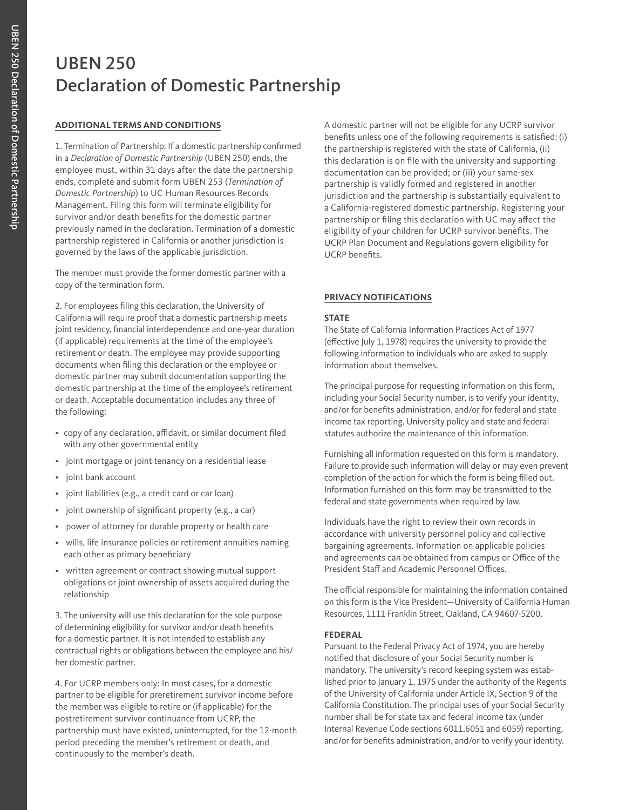## UBEN 250 Declaration of Domestic Partnership

#### **ADDITIONAL TERMS AND CONDITIONS**

1. Termination of Partnership: If a domestic partnership confirmed in a Declaration of Domestic Partnership (UBEN 250) ends, the employee must, within 31 days after the date the partnership ends, complete and submit form UBEN 253 (Termination of Domestic Partnership) to UC Human Resources Records Management. Filing this form will terminate eligibility for survivor and/or death benefits for the domestic partner previously named in the declaration. Termination of a domestic partnership registered in California or another jurisdiction is governed by the laws of the applicable jurisdiction.

The member must provide the former domestic partner with a copy of the termination form.

2. For employees filing this declaration, the University of California will require proof that a domestic partnership meets joint residency, financial interdependence and one-year duration (if applicable) requirements at the time of the employee's retirement or death. The employee may provide supporting documents when filing this declaration or the employee or domestic partner may submit documentation supporting the domestic partnership at the time of the employee's retirement or death. Acceptable documentation includes any three of the following:

- copy of any declaration, affidavit, or similar document filed with any other governmental entity
- joint mortgage or joint tenancy on a residential lease
- joint bank account
- joint liabilities (e.g., a credit card or car loan)
- joint ownership of significant property (e.g., a car)
- power of attorney for durable property or health care
- wills, life insurance policies or retirement annuities naming each other as primary beneficiary
- written agreement or contract showing mutual support obligations or joint ownership of assets acquired during the relationship

3. The university will use this declaration for the sole purpose of determining eligibility for survivor and/or death benefits for a domestic partner. It is not intended to establish any contractual rights or obligations between the employee and his/ her domestic partner.

4. For UCRP members only: In most cases, for a domestic partner to be eligible for preretirement survivor income before the member was eligible to retire or (if applicable) for the postretirement survivor continuance from UCRP, the partnership must have existed, uninterrupted, for the 12-month period preceding the member's retirement or death, and continuously to the member's death.

A domestic partner will not be eligible for any UCRP survivor benefits unless one of the following requirements is satisfied: (i) the partnership is registered with the state of California, (ii) this declaration is on file with the university and supporting documentation can be provided; or (iii) your same-sex partnership is validly formed and registered in another jurisdiction and the partnership is substantially equivalent to a California-registered domestic partnership. Registering your partnership or filing this declaration with UC may affect the eligibility of your children for UCRP survivor benefits. The UCRP Plan Document and Regulations govern eligibility for UCRP benefits.

#### **PRIVACY NOTIFICATIONS**

#### **STATE**

The State of California Information Practices Act of 1977 (effective July 1, 1978) requires the university to provide the following information to individuals who are asked to supply information about themselves.

The principal purpose for requesting information on this form, including your Social Security number, is to verify your identity, and/or for benefits administration, and/or for federal and state income tax reporting. University policy and state and federal statutes authorize the maintenance of this information.

Furnishing all information requested on this form is mandatory. Failure to provide such information will delay or may even prevent completion of the action for which the form is being filled out. Information furnished on this form may be transmitted to the federal and state governments when required by law.

Individuals have the right to review their own records in accordance with university personnel policy and collective bargaining agreements. Information on applicable policies and agreements can be obtained from campus or Office of the President Staff and Academic Personnel Offices.

The official responsible for maintaining the information contained on this form is the Vice President—University of California Human Resources, 1111 Franklin Street, Oakland, CA 94607-5200.

#### **FEDERAL**

Pursuant to the Federal Privacy Act of 1974, you are hereby notified that disclosure of your Social Security number is mandatory. The university's record keeping system was established prior to January 1, 1975 under the authority of the Regents of the University of California under Article IX, Section 9 of the California Constitution. The principal uses of your Social Security number shall be for state tax and federal income tax (under Internal Revenue Code sections 6011.6051 and 6059) reporting, and/or for benefits administration, and/or to verify your identity.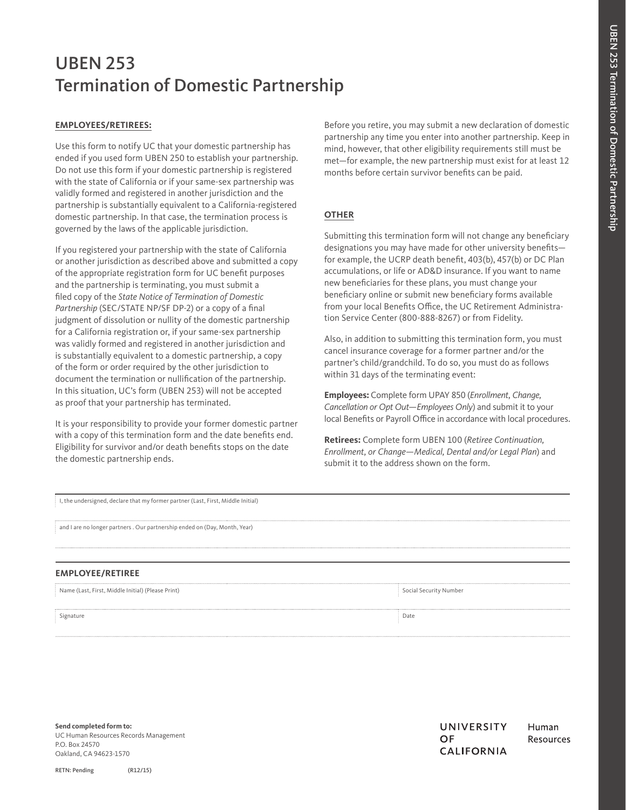## UBEN 253 Termination of Domestic Partnership

#### **EMPLOYEES/RETIREES:**

Use this form to notify UC that your domestic partnership has ended if you used form UBEN 250 to establish your partnership. Do not use this form if your domestic partnership is registered with the state of California or if your same-sex partnership was validly formed and registered in another jurisdiction and the partnership is substantially equivalent to a California-registered domestic partnership. In that case, the termination process is governed by the laws of the applicable jurisdiction.

If you registered your partnership with the state of California or another jurisdiction as described above and submitted a copy of the appropriate registration form for UC benefit purposes and the partnership is terminating, you must submit a filed copy of the State Notice of Termination of Domestic Partnership (SEC/STATE NP/SF DP-2) or a copy of a final judgment of dissolution or nullity of the domestic partnership for a California registration or, if your same-sex partnership was validly formed and registered in another jurisdiction and is substantially equivalent to a domestic partnership, a copy of the form or order required by the other jurisdiction to document the termination or nullification of the partnership. In this situation, UC's form (UBEN 253) will not be accepted as proof that your partnership has terminated.

It is your responsibility to provide your former domestic partner with a copy of this termination form and the date benefits end. Eligibility for survivor and/or death benefits stops on the date the domestic partnership ends.

Before you retire, you may submit a new declaration of domestic partnership any time you enter into another partnership. Keep in mind, however, that other eligibility requirements still must be met—for example, the new partnership must exist for at least 12 months before certain survivor benefits can be paid.

#### **OTHER**

Submitting this termination form will not change any beneficiary designations you may have made for other university benefits for example, the UCRP death benefit, 403(b), 457(b) or DC Plan accumulations, or life or AD&D insurance. If you want to name new beneficiaries for these plans, you must change your beneficiary online or submit new beneficiary forms available from your local Benefits Office, the UC Retirement Administration Service Center (800-888-8267) or from Fidelity.

Also, in addition to submitting this termination form, you must cancel insurance coverage for a former partner and/or the partner's child/grandchild. To do so, you must do as follows within 31 days of the terminating event:

**Employees:** Complete form UPAY 850 (Enrollment, Change, Cancellation or Opt Out—Employees Only) and submit it to your local Benefits or Payroll Office in accordance with local procedures.

**Retirees:** Complete form UBEN 100 (Retiree Continuation, Enrollment, or Change—Medical, Dental and/or Legal Plan) and submit it to the address shown on the form.

| I, the undersigned, declare that my former partner (Last, First, Middle Initial) |                        |
|----------------------------------------------------------------------------------|------------------------|
| and I are no longer partners. Our partnership ended on (Day, Month, Year)        |                        |
|                                                                                  |                        |
| <b>EMPLOYEE/RETIREE</b>                                                          |                        |
| Name (Last, First, Middle Initial) (Please Print)                                | Social Security Number |
| Signature                                                                        | Date                   |

**Send completed form to:**  UC Human Resources Records Management P.O. Box 24570 Oakland, CA 94623-1570

**UNIVERSITY** Human OF Resources **CALIFORNIA**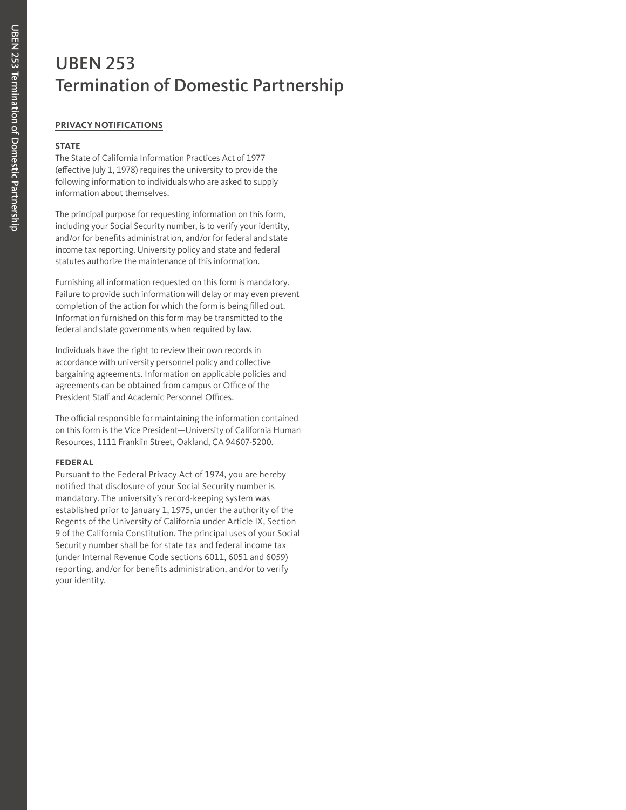## UBEN 253 Termination of Domestic Partnership

### **PRIVACY NOTIFICATIONS**

#### **STATE**

The State of California Information Practices Act of 1977 (effective July 1, 1978) requires the university to provide the following information to individuals who are asked to supply information about themselves.

The principal purpose for requesting information on this form, including your Social Security number, is to verify your identity, and/or for benefits administration, and/or for federal and state income tax reporting. University policy and state and federal statutes authorize the maintenance of this information.

Furnishing all information requested on this form is mandatory. Failure to provide such information will delay or may even prevent completion of the action for which the form is being filled out. Information furnished on this form may be transmitted to the federal and state governments when required by law.

Individuals have the right to review their own records in accordance with university personnel policy and collective bargaining agreements. Information on applicable policies and agreements can be obtained from campus or Office of the President Staff and Academic Personnel Offices.

The official responsible for maintaining the information contained on this form is the Vice President—University of California Human Resources, 1111 Franklin Street, Oakland, CA 94607-5200.

#### **FEDERAL**

Pursuant to the Federal Privacy Act of 1974, you are hereby notified that disclosure of your Social Security number is mandatory. The university's record-keeping system was established prior to January 1, 1975, under the authority of the Regents of the University of California under Article IX, Section 9 of the California Constitution. The principal uses of your Social Security number shall be for state tax and federal income tax (under Internal Revenue Code sections 6011, 6051 and 6059) reporting, and/or for benefits administration, and/or to verify your identity.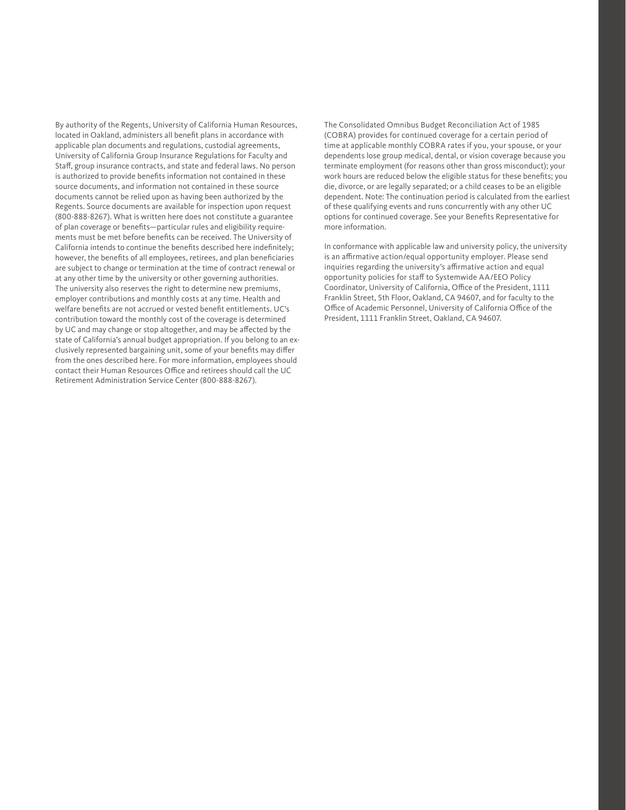By authority of the Regents, University of California Human Resources, located in Oakland, administers all benefit plans in accordance with applicable plan documents and regulations, custodial agreements, University of California Group Insurance Regulations for Faculty and Staff, group insurance contracts, and state and federal laws. No person is authorized to provide benefits information not contained in these source documents, and information not contained in these source documents cannot be relied upon as having been authorized by the Regents. Source documents are available for inspection upon request (800-888-8267). What is written here does not constitute a guarantee of plan coverage or benefits—particular rules and eligibility requirements must be met before benefits can be received. The University of California intends to continue the benefits described here indefinitely; however, the benefits of all employees, retirees, and plan beneficiaries are subject to change or termination at the time of contract renewal or at any other time by the university or other governing authorities. The university also reserves the right to determine new premiums, employer contributions and monthly costs at any time. Health and welfare benefits are not accrued or vested benefit entitlements. UC's contribution toward the monthly cost of the coverage is determined by UC and may change or stop altogether, and may be affected by the state of California's annual budget appropriation. If you belong to an exclusively represented bargaining unit, some of your benefits may differ from the ones described here. For more information, employees should contact their Human Resources Office and retirees should call the UC Retirement Administration Service Center (800-888-8267).

The Consolidated Omnibus Budget Reconciliation Act of 1985 (COBRA) provides for continued coverage for a certain period of time at applicable monthly COBRA rates if you, your spouse, or your dependents lose group medical, dental, or vision coverage because you terminate employment (for reasons other than gross misconduct); your work hours are reduced below the eligible status for these benefits; you die, divorce, or are legally separated; or a child ceases to be an eligible dependent. Note: The continuation period is calculated from the earliest of these qualifying events and runs concurrently with any other UC options for continued coverage. See your Benefits Representative for more information.

In conformance with applicable law and university policy, the university is an affirmative action/equal opportunity employer. Please send inquiries regarding the university's affirmative action and equal opportunity policies for staff to Systemwide AA/EEO Policy Coordinator, University of California, Office of the President, 1111 Franklin Street, 5th Floor, Oakland, CA 94607, and for faculty to the Office of Academic Personnel, University of California Office of the President, 1111 Franklin Street, Oakland, CA 94607.